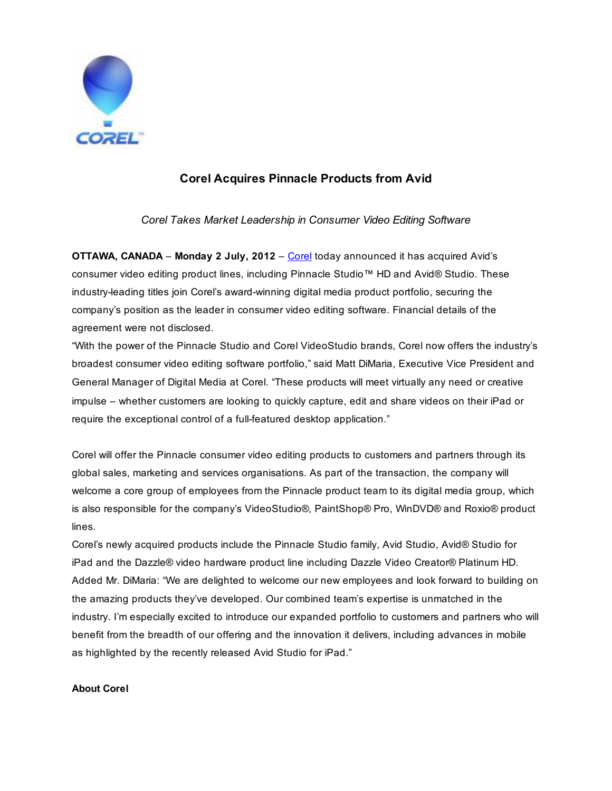

## **Corel Acquires Pinnacle Products from Avid**

*Corel Takes Market Leadership in Consumer Video Editing Software*

**OTTAWA, CANADA** – Monday 2 July, 2012 – [Corel](http://www.corel.com) today announced it has acquired Avid's consumer video editing product lines, including Pinnacle Studio™ HD and Avid® Studio. These industry-leading titles join Corel's award-winning digital media product portfolio, securing the company's position as the leader in consumer video editing software. Financial details of the agreement were not disclosed.

"With the power of the Pinnacle Studio and Corel VideoStudio brands, Corel now offers the industry's broadest consumer video editing software portfolio," said Matt DiMaria, Executive Vice President and General Manager of Digital Media at Corel. "These products will meet virtually any need or creative impulse – whether customers are looking to quickly capture, edit and share videos on their iPad or require the exceptional control of a full-featured desktop application."

Corel will offer the Pinnacle consumer video editing products to customers and partners through its global sales, marketing and services organisations. As part of the transaction, the company will welcome a core group of employees from the Pinnacle product team to its digital media group, which is also responsible for the company's VideoStudio®, PaintShop® Pro, WinDVD® and Roxio® product lines.

Corel's newly acquired products include the Pinnacle Studio family, Avid Studio, Avid® Studio for iPad and the Dazzle® video hardware product line including Dazzle Video Creator® Platinum HD. Added Mr. DiMaria: "We are delighted to welcome our new employees and look forward to building on the amazing products they've developed. Our combined team's expertise is unmatched in the industry. I'm especially excited to introduce our expanded portfolio to customers and partners who will benefit from the breadth of our offering and the innovation it delivers, including advances in mobile as highlighted by the recently released Avid Studio for iPad."

## **About Corel**